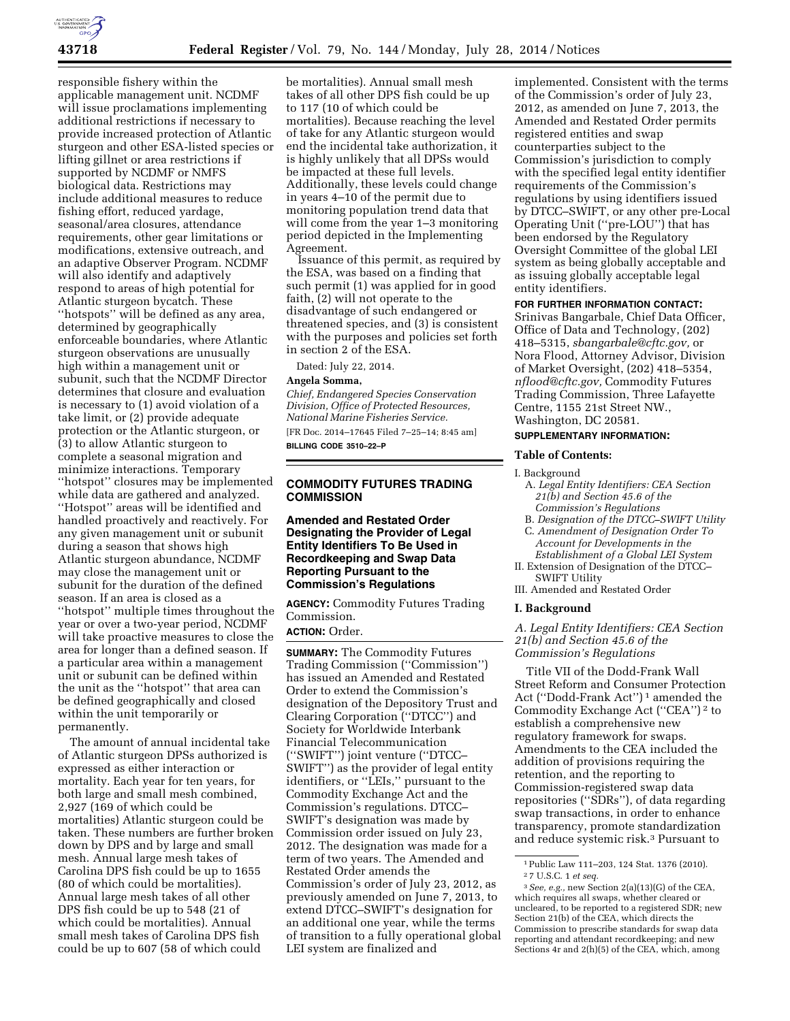

responsible fishery within the applicable management unit. NCDMF will issue proclamations implementing additional restrictions if necessary to provide increased protection of Atlantic sturgeon and other ESA-listed species or lifting gillnet or area restrictions if supported by NCDMF or NMFS biological data. Restrictions may include additional measures to reduce fishing effort, reduced yardage, seasonal/area closures, attendance requirements, other gear limitations or modifications, extensive outreach, and an adaptive Observer Program. NCDMF will also identify and adaptively respond to areas of high potential for Atlantic sturgeon bycatch. These "hotspots" will be defined as any area, determined by geographically enforceable boundaries, where Atlantic sturgeon observations are unusually high within a management unit or subunit, such that the NCDMF Director determines that closure and evaluation is necessary to (1) avoid violation of a take limit, or (2) provide adequate protection or the Atlantic sturgeon, or (3) to allow Atlantic sturgeon to complete a seasonal migration and minimize interactions. Temporary ''hotspot'' closures may be implemented while data are gathered and analyzed. ''Hotspot'' areas will be identified and handled proactively and reactively. For any given management unit or subunit during a season that shows high Atlantic sturgeon abundance, NCDMF may close the management unit or subunit for the duration of the defined season. If an area is closed as a ''hotspot'' multiple times throughout the year or over a two-year period, NCDMF will take proactive measures to close the area for longer than a defined season. If a particular area within a management unit or subunit can be defined within the unit as the ''hotspot'' that area can be defined geographically and closed within the unit temporarily or permanently.

The amount of annual incidental take of Atlantic sturgeon DPSs authorized is expressed as either interaction or mortality. Each year for ten years, for both large and small mesh combined, 2,927 (169 of which could be mortalities) Atlantic sturgeon could be taken. These numbers are further broken down by DPS and by large and small mesh. Annual large mesh takes of Carolina DPS fish could be up to 1655 (80 of which could be mortalities). Annual large mesh takes of all other DPS fish could be up to 548 (21 of which could be mortalities). Annual small mesh takes of Carolina DPS fish could be up to 607 (58 of which could

be mortalities). Annual small mesh takes of all other DPS fish could be up to 117 (10 of which could be mortalities). Because reaching the level of take for any Atlantic sturgeon would end the incidental take authorization, it is highly unlikely that all DPSs would be impacted at these full levels. Additionally, these levels could change in years 4–10 of the permit due to monitoring population trend data that will come from the year 1–3 monitoring period depicted in the Implementing Agreement.

Issuance of this permit, as required by the ESA, was based on a finding that such permit (1) was applied for in good faith, (2) will not operate to the disadvantage of such endangered or threatened species, and (3) is consistent with the purposes and policies set forth in section 2 of the ESA.

Dated: July 22, 2014.

# **Angela Somma,**

*Chief, Endangered Species Conservation Division, Office of Protected Resources, National Marine Fisheries Service.*  [FR Doc. 2014–17645 Filed 7–25–14; 8:45 am]

**BILLING CODE 3510–22–P** 

# **COMMODITY FUTURES TRADING COMMISSION**

**Amended and Restated Order Designating the Provider of Legal Entity Identifiers To Be Used in Recordkeeping and Swap Data Reporting Pursuant to the Commission's Regulations** 

**AGENCY:** Commodity Futures Trading Commission. **ACTION:** Order.

**SUMMARY:** The Commodity Futures Trading Commission (''Commission'') has issued an Amended and Restated Order to extend the Commission's designation of the Depository Trust and Clearing Corporation (''DTCC'') and Society for Worldwide Interbank Financial Telecommunication (''SWIFT'') joint venture (''DTCC– SWIFT'') as the provider of legal entity identifiers, or ''LEIs,'' pursuant to the Commodity Exchange Act and the Commission's regulations. DTCC– SWIFT's designation was made by Commission order issued on July 23, 2012. The designation was made for a term of two years. The Amended and Restated Order amends the Commission's order of July 23, 2012, as previously amended on June 7, 2013, to extend DTCC–SWIFT's designation for an additional one year, while the terms of transition to a fully operational global LEI system are finalized and

implemented. Consistent with the terms of the Commission's order of July 23, 2012, as amended on June 7, 2013, the Amended and Restated Order permits registered entities and swap counterparties subject to the Commission's jurisdiction to comply with the specified legal entity identifier requirements of the Commission's regulations by using identifiers issued by DTCC–SWIFT, or any other pre-Local Operating Unit (''pre-LOU'') that has been endorsed by the Regulatory Oversight Committee of the global LEI system as being globally acceptable and as issuing globally acceptable legal entity identifiers.

# **FOR FURTHER INFORMATION CONTACT:**

Srinivas Bangarbale, Chief Data Officer, Office of Data and Technology, (202) 418–5315, *[sbangarbale@cftc.gov,](mailto:sbangarbale@cftc.gov)* or Nora Flood, Attorney Advisor, Division of Market Oversight, (202) 418–5354, *[nflood@cftc.gov,](mailto:nflood@cftc.gov)* Commodity Futures Trading Commission, Three Lafayette Centre, 1155 21st Street NW., Washington, DC 20581.

## **SUPPLEMENTARY INFORMATION:**

## **Table of Contents:**

- I. Background
	- A. *Legal Entity Identifiers: CEA Section 21(b) and Section 45.6 of the Commission's Regulations*
	- B. *Designation of the DTCC–SWIFT Utility*
	- C. *Amendment of Designation Order To Account for Developments in the Establishment of a Global LEI System*
- II. Extension of Designation of the DTCC– SWIFT Utility
- III. Amended and Restated Order

# **I. Background**

*A. Legal Entity Identifiers: CEA Section 21(b) and Section 45.6 of the Commission's Regulations* 

Title VII of the Dodd-Frank Wall Street Reform and Consumer Protection Act (''Dodd-Frank Act'') 1 amended the Commodity Exchange Act (''CEA'') 2 to establish a comprehensive new regulatory framework for swaps. Amendments to the CEA included the addition of provisions requiring the retention, and the reporting to Commission-registered swap data repositories (''SDRs''), of data regarding swap transactions, in order to enhance transparency, promote standardization and reduce systemic risk.3 Pursuant to

<sup>1</sup>Public Law 111–203, 124 Stat. 1376 (2010). 2 7 U.S.C. 1 *et seq.* 

<sup>3</sup>*See, e.g.,* new Section 2(a)(13)(G) of the CEA, which requires all swaps, whether cleared or uncleared, to be reported to a registered SDR; new Section 21(b) of the CEA, which directs the Commission to prescribe standards for swap data reporting and attendant recordkeeping; and new Sections 4r and 2(h)(5) of the CEA, which, among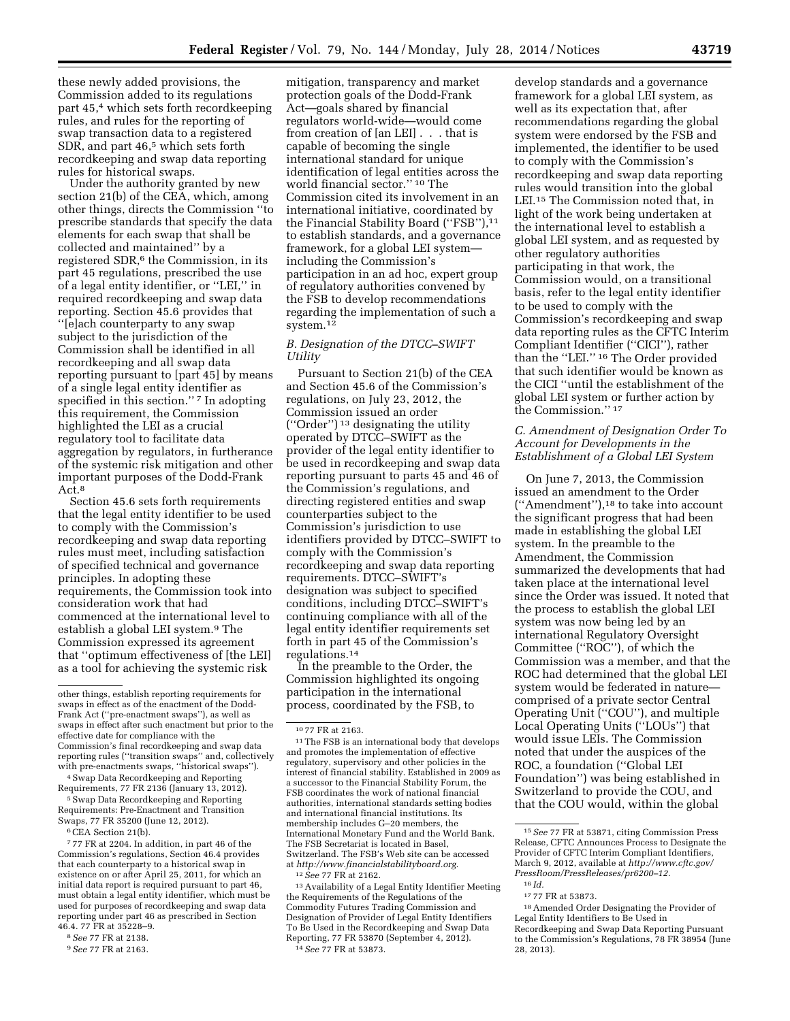these newly added provisions, the Commission added to its regulations part 45,4 which sets forth recordkeeping rules, and rules for the reporting of swap transaction data to a registered SDR, and part 46,<sup>5</sup> which sets forth recordkeeping and swap data reporting rules for historical swaps.

Under the authority granted by new section 21(b) of the CEA, which, among other things, directs the Commission ''to prescribe standards that specify the data elements for each swap that shall be collected and maintained'' by a registered SDR,6 the Commission, in its part 45 regulations, prescribed the use of a legal entity identifier, or ''LEI,'' in required recordkeeping and swap data reporting. Section 45.6 provides that ''[e]ach counterparty to any swap subject to the jurisdiction of the Commission shall be identified in all recordkeeping and all swap data reporting pursuant to [part 45] by means of a single legal entity identifier as specified in this section."<sup>7</sup> In adopting this requirement, the Commission highlighted the LEI as a crucial regulatory tool to facilitate data aggregation by regulators, in furtherance of the systemic risk mitigation and other important purposes of the Dodd-Frank Act.<sup>8</sup>

Section 45.6 sets forth requirements that the legal entity identifier to be used to comply with the Commission's recordkeeping and swap data reporting rules must meet, including satisfaction of specified technical and governance principles. In adopting these requirements, the Commission took into consideration work that had commenced at the international level to establish a global LEI system.<sup>9</sup> The Commission expressed its agreement that ''optimum effectiveness of [the LEI] as a tool for achieving the systemic risk

<sup>5</sup> Swap Data Recordkeeping and Reporting Requirements: Pre-Enactment and Transition Swaps, 77 FR 35200 (June 12, 2012).

6CEA Section 21(b).

7 77 FR at 2204. In addition, in part 46 of the Commission's regulations, Section 46.4 provides that each counterparty to a historical swap in existence on or after April 25, 2011, for which an initial data report is required pursuant to part 46, must obtain a legal entity identifier, which must be used for purposes of recordkeeping and swap data reporting under part 46 as prescribed in Section 46.4. 77 FR at 35228–9.

mitigation, transparency and market protection goals of the Dodd-Frank Act—goals shared by financial regulators world-wide—would come from creation of [an LEI] . . . that is capable of becoming the single international standard for unique identification of legal entities across the world financial sector.'' 10 The Commission cited its involvement in an international initiative, coordinated by the Financial Stability Board ("FSB"),<sup>11</sup> to establish standards, and a governance framework, for a global LEI system including the Commission's participation in an ad hoc, expert group of regulatory authorities convened by the FSB to develop recommendations regarding the implementation of such a system.12

# *B. Designation of the DTCC–SWIFT Utility*

Pursuant to Section 21(b) of the CEA and Section 45.6 of the Commission's regulations, on July 23, 2012, the Commission issued an order (''Order'') 13 designating the utility operated by DTCC–SWIFT as the provider of the legal entity identifier to be used in recordkeeping and swap data reporting pursuant to parts 45 and 46 of the Commission's regulations, and directing registered entities and swap counterparties subject to the Commission's jurisdiction to use identifiers provided by DTCC–SWIFT to comply with the Commission's recordkeeping and swap data reporting requirements. DTCC–SWIFT's designation was subject to specified conditions, including DTCC–SWIFT's continuing compliance with all of the legal entity identifier requirements set forth in part 45 of the Commission's regulations.14

In the preamble to the Order, the Commission highlighted its ongoing participation in the international process, coordinated by the FSB, to

13Availability of a Legal Entity Identifier Meeting the Requirements of the Regulations of the Commodity Futures Trading Commission and Designation of Provider of Legal Entity Identifiers To Be Used in the Recordkeeping and Swap Data Reporting, 77 FR 53870 (September 4, 2012). 14*See* 77 FR at 53873.

develop standards and a governance framework for a global LEI system, as well as its expectation that, after recommendations regarding the global system were endorsed by the FSB and implemented, the identifier to be used to comply with the Commission's recordkeeping and swap data reporting rules would transition into the global LEI.15 The Commission noted that, in light of the work being undertaken at the international level to establish a global LEI system, and as requested by other regulatory authorities participating in that work, the Commission would, on a transitional basis, refer to the legal entity identifier to be used to comply with the Commission's recordkeeping and swap data reporting rules as the CFTC Interim Compliant Identifier (''CICI''), rather than the ''LEI.'' 16 The Order provided that such identifier would be known as the CICI ''until the establishment of the global LEI system or further action by the Commission.'' 17

# *C. Amendment of Designation Order To Account for Developments in the Establishment of a Global LEI System*

On June 7, 2013, the Commission issued an amendment to the Order (''Amendment''),18 to take into account the significant progress that had been made in establishing the global LEI system. In the preamble to the Amendment, the Commission summarized the developments that had taken place at the international level since the Order was issued. It noted that the process to establish the global LEI system was now being led by an international Regulatory Oversight Committee (''ROC''), of which the Commission was a member, and that the ROC had determined that the global LEI system would be federated in nature comprised of a private sector Central Operating Unit (''COU''), and multiple Local Operating Units (''LOUs'') that would issue LEIs. The Commission noted that under the auspices of the ROC, a foundation (''Global LEI Foundation'') was being established in Switzerland to provide the COU, and that the COU would, within the global

other things, establish reporting requirements for swaps in effect as of the enactment of the Dodd-Frank Act (''pre-enactment swaps''), as well as swaps in effect after such enactment but prior to the effective date for compliance with the Commission's final recordkeeping and swap data reporting rules (''transition swaps'' and, collectively with pre-enactments swaps, ''historical swaps'').

<sup>4</sup>Swap Data Recordkeeping and Reporting Requirements, 77 FR 2136 (January 13, 2012).

<sup>8</sup>*See* 77 FR at 2138.

<sup>9</sup>*See* 77 FR at 2163.

<sup>10</sup> 77 FR at 2163. 11The FSB is an international body that develops and promotes the implementation of effective regulatory, supervisory and other policies in the interest of financial stability. Established in 2009 as a successor to the Financial Stability Forum, the FSB coordinates the work of national financial authorities, international standards setting bodies and international financial institutions. Its membership includes G–20 members, the International Monetary Fund and the World Bank. The FSB Secretariat is located in Basel, Switzerland. The FSB's Web site can be accessed at *[http://www.financialstabilityboard.org.](http://www.financialstabilityboard.org)* 

<sup>12</sup>*See* 77 FR at 2162.

<sup>15</sup>*See* 77 FR at 53871, citing Commission Press Release, CFTC Announces Process to Designate the Provider of CFTC Interim Compliant Identifiers, March 9, 2012, available at *[http://www.cftc.gov/](http://www.cftc.gov/PressRoom/PressReleases/pr6200-12) [PressRoom/PressReleases/pr6200–12.](http://www.cftc.gov/PressRoom/PressReleases/pr6200-12)*  16 *Id.* 

<sup>17</sup> 77 FR at 53873.

<sup>18</sup>Amended Order Designating the Provider of Legal Entity Identifiers to Be Used in Recordkeeping and Swap Data Reporting Pursuant to the Commission's Regulations, 78 FR 38954 (June 28, 2013).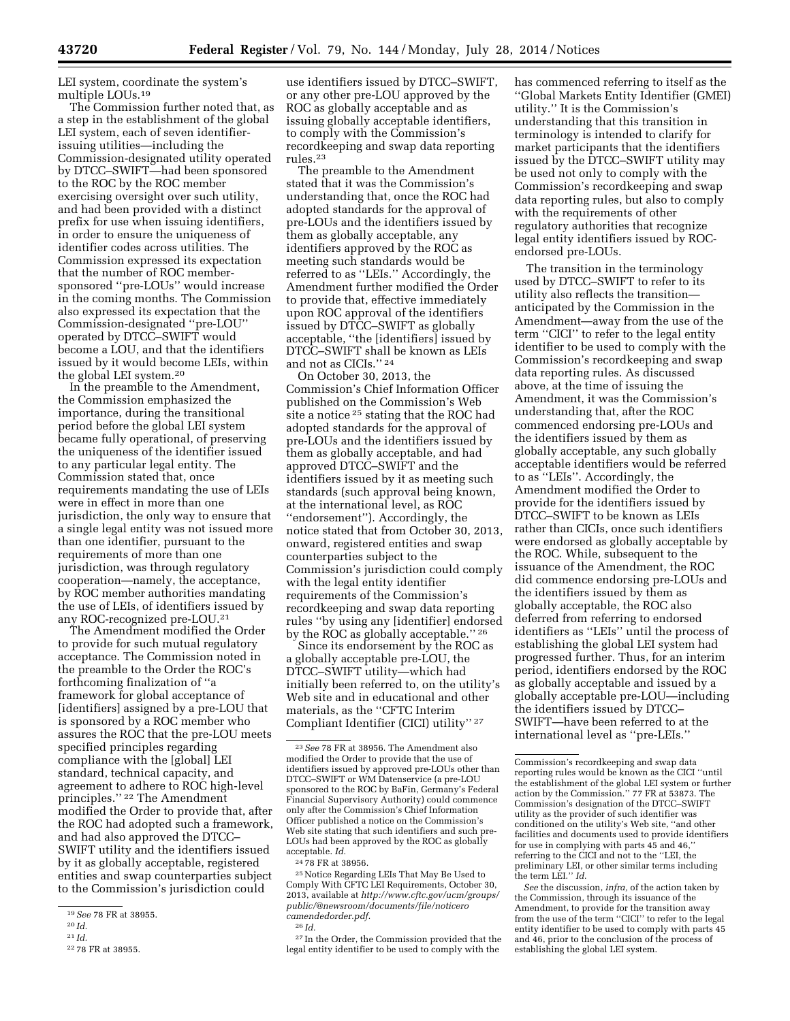LEI system, coordinate the system's multiple LOUs.19

The Commission further noted that, as a step in the establishment of the global LEI system, each of seven identifierissuing utilities—including the Commission-designated utility operated by DTCC–SWIFT—had been sponsored to the ROC by the ROC member exercising oversight over such utility, and had been provided with a distinct prefix for use when issuing identifiers, in order to ensure the uniqueness of identifier codes across utilities. The Commission expressed its expectation that the number of ROC membersponsored ''pre-LOUs'' would increase in the coming months. The Commission also expressed its expectation that the Commission-designated ''pre-LOU'' operated by DTCC–SWIFT would become a LOU, and that the identifiers issued by it would become LEIs, within the global LEI system.20

In the preamble to the Amendment, the Commission emphasized the importance, during the transitional period before the global LEI system became fully operational, of preserving the uniqueness of the identifier issued to any particular legal entity. The Commission stated that, once requirements mandating the use of LEIs were in effect in more than one jurisdiction, the only way to ensure that a single legal entity was not issued more than one identifier, pursuant to the requirements of more than one jurisdiction, was through regulatory cooperation—namely, the acceptance, by ROC member authorities mandating the use of LEIs, of identifiers issued by any ROC-recognized pre-LOU.21

The Amendment modified the Order to provide for such mutual regulatory acceptance. The Commission noted in the preamble to the Order the ROC's forthcoming finalization of ''a framework for global acceptance of [identifiers] assigned by a pre-LOU that is sponsored by a ROC member who assures the ROC that the pre-LOU meets specified principles regarding compliance with the [global] LEI standard, technical capacity, and agreement to adhere to ROC high-level principles.'' 22 The Amendment modified the Order to provide that, after the ROC had adopted such a framework, and had also approved the DTCC– SWIFT utility and the identifiers issued by it as globally acceptable, registered entities and swap counterparties subject to the Commission's jurisdiction could

use identifiers issued by DTCC–SWIFT, or any other pre-LOU approved by the ROC as globally acceptable and as issuing globally acceptable identifiers, to comply with the Commission's recordkeeping and swap data reporting rules.23

The preamble to the Amendment stated that it was the Commission's understanding that, once the ROC had adopted standards for the approval of pre-LOUs and the identifiers issued by them as globally acceptable, any identifiers approved by the ROC as meeting such standards would be referred to as ''LEIs.'' Accordingly, the Amendment further modified the Order to provide that, effective immediately upon ROC approval of the identifiers issued by DTCC–SWIFT as globally acceptable, ''the [identifiers] issued by DTCC–SWIFT shall be known as LEIs and not as CICIs.'' 24

On October 30, 2013, the Commission's Chief Information Officer published on the Commission's Web site a notice 25 stating that the ROC had adopted standards for the approval of pre-LOUs and the identifiers issued by them as globally acceptable, and had approved DTCC–SWIFT and the identifiers issued by it as meeting such standards (such approval being known, at the international level, as ROC ''endorsement''). Accordingly, the notice stated that from October 30, 2013, onward, registered entities and swap counterparties subject to the Commission's jurisdiction could comply with the legal entity identifier requirements of the Commission's recordkeeping and swap data reporting rules ''by using any [identifier] endorsed by the ROC as globally acceptable.'' 26

Since its endorsement by the ROC as a globally acceptable pre-LOU, the DTCC–SWIFT utility—which had initially been referred to, on the utility's Web site and in educational and other materials, as the ''CFTC Interim Compliant Identifier (CICI) utility'' 27

has commenced referring to itself as the ''Global Markets Entity Identifier (GMEI) utility.'' It is the Commission's understanding that this transition in terminology is intended to clarify for market participants that the identifiers issued by the DTCC–SWIFT utility may be used not only to comply with the Commission's recordkeeping and swap data reporting rules, but also to comply with the requirements of other regulatory authorities that recognize legal entity identifiers issued by ROCendorsed pre-LOUs.

The transition in the terminology used by DTCC–SWIFT to refer to its utility also reflects the transition anticipated by the Commission in the Amendment—away from the use of the term ''CICI'' to refer to the legal entity identifier to be used to comply with the Commission's recordkeeping and swap data reporting rules. As discussed above, at the time of issuing the Amendment, it was the Commission's understanding that, after the ROC commenced endorsing pre-LOUs and the identifiers issued by them as globally acceptable, any such globally acceptable identifiers would be referred to as ''LEIs''. Accordingly, the Amendment modified the Order to provide for the identifiers issued by DTCC–SWIFT to be known as LEIs rather than CICIs, once such identifiers were endorsed as globally acceptable by the ROC. While, subsequent to the issuance of the Amendment, the ROC did commence endorsing pre-LOUs and the identifiers issued by them as globally acceptable, the ROC also deferred from referring to endorsed identifiers as ''LEIs'' until the process of establishing the global LEI system had progressed further. Thus, for an interim period, identifiers endorsed by the ROC as globally acceptable and issued by a globally acceptable pre-LOU—including the identifiers issued by DTCC– SWIFT—have been referred to at the international level as ''pre-LEIs.''

<sup>19</sup>*See* 78 FR at 38955.

<sup>20</sup> *Id.* 

<sup>21</sup> *Id.* 

<sup>22</sup> 78 FR at 38955.

<sup>23</sup>*See* 78 FR at 38956. The Amendment also modified the Order to provide that the use of identifiers issued by approved pre-LOUs other than DTCC–SWIFT or WM Datenservice (a pre-LOU sponsored to the ROC by BaFin, Germany's Federal Financial Supervisory Authority) could commence only after the Commission's Chief Information Officer published a notice on the Commission's Web site stating that such identifiers and such pre-LOUs had been approved by the ROC as globally acceptable. *Id.* 

<sup>24</sup> 78 FR at 38956.

<sup>25</sup>Notice Regarding LEIs That May Be Used to Comply With CFTC LEI Requirements, October 30, 2013, available at *[http://www.cftc.gov/ucm/groups/](http://www.cftc.gov/ucm/groups/public/@newsroom/documents/file/noticerocamendedorder.pdf)  [public/@newsroom/documents/file/noticero](http://www.cftc.gov/ucm/groups/public/@newsroom/documents/file/noticerocamendedorder.pdf) [camendedorder.pdf.](http://www.cftc.gov/ucm/groups/public/@newsroom/documents/file/noticerocamendedorder.pdf)* 

<sup>26</sup> *Id.* 

<sup>27</sup> In the Order, the Commission provided that the legal entity identifier to be used to comply with the

Commission's recordkeeping and swap data reporting rules would be known as the CICI ''until the establishment of the global LEI system or further action by the Commission.'' 77 FR at 53873. The Commission's designation of the DTCC–SWIFT utility as the provider of such identifier was conditioned on the utility's Web site, ''and other facilities and documents used to provide identifiers for use in complying with parts 45 and 46,'' referring to the CICI and not to the ''LEI, the preliminary LEI, or other similar terms including the term LEI.'' *Id.* 

*See* the discussion, *infra,* of the action taken by the Commission, through its issuance of the Amendment, to provide for the transition away from the use of the term ''CICI'' to refer to the legal entity identifier to be used to comply with parts 45 and 46, prior to the conclusion of the process of establishing the global LEI system.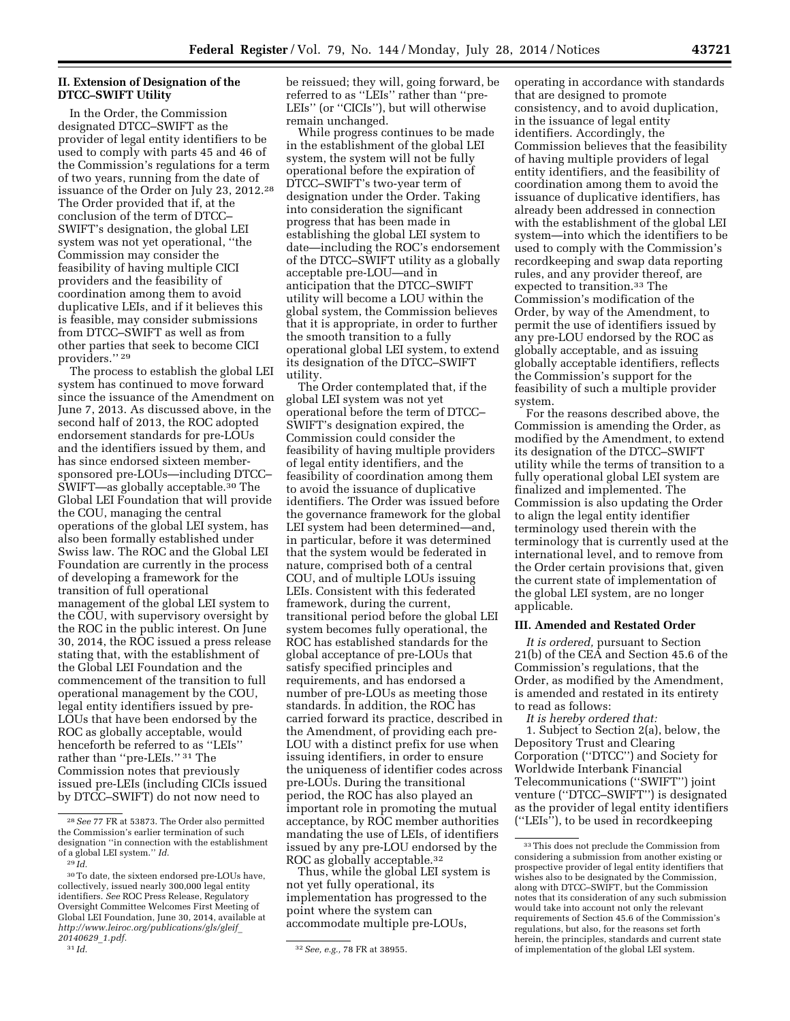## **II. Extension of Designation of the DTCC–SWIFT Utility**

In the Order, the Commission designated DTCC–SWIFT as the provider of legal entity identifiers to be used to comply with parts 45 and 46 of the Commission's regulations for a term of two years, running from the date of issuance of the Order on July 23, 2012.28 The Order provided that if, at the conclusion of the term of DTCC– SWIFT's designation, the global LEI system was not yet operational, ''the Commission may consider the feasibility of having multiple CICI providers and the feasibility of coordination among them to avoid duplicative LEIs, and if it believes this is feasible, may consider submissions from DTCC–SWIFT as well as from other parties that seek to become CICI providers.'' 29

The process to establish the global LEI system has continued to move forward since the issuance of the Amendment on June 7, 2013. As discussed above, in the second half of 2013, the ROC adopted endorsement standards for pre-LOUs and the identifiers issued by them, and has since endorsed sixteen membersponsored pre-LOUs—including DTCC– SWIFT—as globally acceptable.30 The Global LEI Foundation that will provide the COU, managing the central operations of the global LEI system, has also been formally established under Swiss law. The ROC and the Global LEI Foundation are currently in the process of developing a framework for the transition of full operational management of the global LEI system to the COU, with supervisory oversight by the ROC in the public interest. On June 30, 2014, the ROC issued a press release stating that, with the establishment of the Global LEI Foundation and the commencement of the transition to full operational management by the COU, legal entity identifiers issued by pre-LOUs that have been endorsed by the ROC as globally acceptable, would henceforth be referred to as ''LEIs'' rather than ''pre-LEIs.'' 31 The Commission notes that previously issued pre-LEIs (including CICIs issued by DTCC–SWIFT) do not now need to

be reissued; they will, going forward, be referred to as ''LEIs'' rather than ''pre-LEIs'' (or ''CICIs''), but will otherwise remain unchanged.

While progress continues to be made in the establishment of the global LEI system, the system will not be fully operational before the expiration of DTCC–SWIFT's two-year term of designation under the Order. Taking into consideration the significant progress that has been made in establishing the global LEI system to date—including the ROC's endorsement of the DTCC–SWIFT utility as a globally acceptable pre-LOU—and in anticipation that the DTCC–SWIFT utility will become a LOU within the global system, the Commission believes that it is appropriate, in order to further the smooth transition to a fully operational global LEI system, to extend its designation of the DTCC–SWIFT utility.

The Order contemplated that, if the global LEI system was not yet operational before the term of DTCC– SWIFT's designation expired, the Commission could consider the feasibility of having multiple providers of legal entity identifiers, and the feasibility of coordination among them to avoid the issuance of duplicative identifiers. The Order was issued before the governance framework for the global LEI system had been determined—and, in particular, before it was determined that the system would be federated in nature, comprised both of a central COU, and of multiple LOUs issuing LEIs. Consistent with this federated framework, during the current, transitional period before the global LEI system becomes fully operational, the ROC has established standards for the global acceptance of pre-LOUs that satisfy specified principles and requirements, and has endorsed a number of pre-LOUs as meeting those standards. In addition, the ROC has carried forward its practice, described in the Amendment, of providing each pre-LOU with a distinct prefix for use when issuing identifiers, in order to ensure the uniqueness of identifier codes across pre-LOUs. During the transitional period, the ROC has also played an important role in promoting the mutual acceptance, by ROC member authorities mandating the use of LEIs, of identifiers issued by any pre-LOU endorsed by the ROC as globally acceptable.<sup>32</sup>

Thus, while the global LEI system is not yet fully operational, its implementation has progressed to the point where the system can accommodate multiple pre-LOUs,

operating in accordance with standards that are designed to promote consistency, and to avoid duplication, in the issuance of legal entity identifiers. Accordingly, the Commission believes that the feasibility of having multiple providers of legal entity identifiers, and the feasibility of coordination among them to avoid the issuance of duplicative identifiers, has already been addressed in connection with the establishment of the global LEI system—into which the identifiers to be used to comply with the Commission's recordkeeping and swap data reporting rules, and any provider thereof, are expected to transition.33 The Commission's modification of the Order, by way of the Amendment, to permit the use of identifiers issued by any pre-LOU endorsed by the ROC as globally acceptable, and as issuing globally acceptable identifiers, reflects the Commission's support for the feasibility of such a multiple provider system.

For the reasons described above, the Commission is amending the Order, as modified by the Amendment, to extend its designation of the DTCC–SWIFT utility while the terms of transition to a fully operational global LEI system are finalized and implemented. The Commission is also updating the Order to align the legal entity identifier terminology used therein with the terminology that is currently used at the international level, and to remove from the Order certain provisions that, given the current state of implementation of the global LEI system, are no longer applicable.

### **III. Amended and Restated Order**

*It is ordered,* pursuant to Section 21(b) of the CEA and Section 45.6 of the Commission's regulations, that the Order, as modified by the Amendment, is amended and restated in its entirety to read as follows:

*It is hereby ordered that:* 

1. Subject to Section 2(a), below, the Depository Trust and Clearing Corporation (''DTCC'') and Society for Worldwide Interbank Financial Telecommunications (''SWIFT'') joint venture (''DTCC–SWIFT'') is designated as the provider of legal entity identifiers (''LEIs''), to be used in recordkeeping

<sup>28</sup>*See* 77 FR at 53873. The Order also permitted the Commission's earlier termination of such designation ''in connection with the establishment of a global LEI system.'' *Id.* 

<sup>29</sup> *Id.* 

<sup>30</sup>To date, the sixteen endorsed pre-LOUs have, collectively, issued nearly 300,000 legal entity identifiers. *See* ROC Press Release, Regulatory Oversight Committee Welcomes First Meeting of Global LEI Foundation, June 30, 2014, available at *[http://www.leiroc.org/publications/gls/gleif](http://www.leiroc.org/publications/gls/gleif_20140629_1.pdf)*\_ *[20140629](http://www.leiroc.org/publications/gls/gleif_20140629_1.pdf)*\_*1.pdf.* 

<sup>31</sup> *Id.* 32*See, e.g.,* 78 FR at 38955.

<sup>33</sup>This does not preclude the Commission from considering a submission from another existing or prospective provider of legal entity identifiers that wishes also to be designated by the Commission, along with DTCC–SWIFT, but the Commission notes that its consideration of any such submission would take into account not only the relevant requirements of Section 45.6 of the Commission's regulations, but also, for the reasons set forth herein, the principles, standards and current state of implementation of the global LEI system.